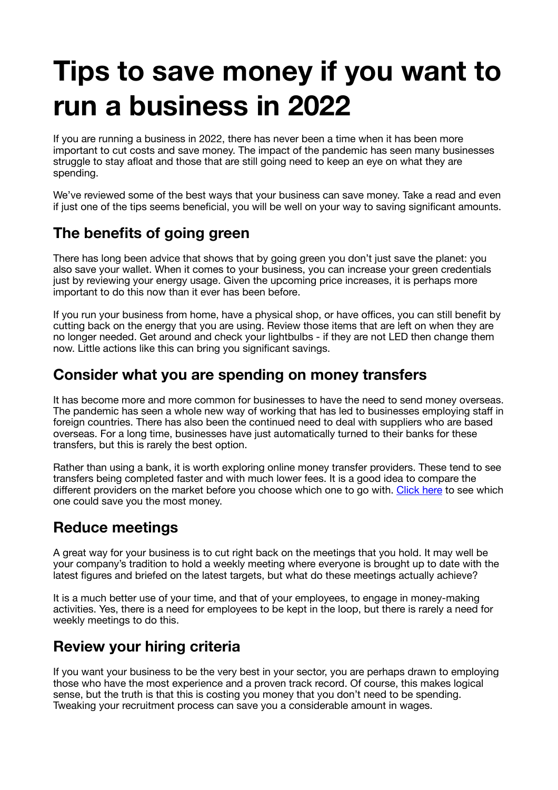# **Tips to save money if you want to run a business in 2022**

If you are running a business in 2022, there has never been a time when it has been more important to cut costs and save money. The impact of the pandemic has seen many businesses struggle to stay afloat and those that are still going need to keep an eye on what they are spending.

We've reviewed some of the best ways that your business can save money. Take a read and even if just one of the tips seems beneficial, you will be well on your way to saving significant amounts.

## **The benefits of going green**

There has long been advice that shows that by going green you don't just save the planet: you also save your wallet. When it comes to your business, you can increase your green credentials just by reviewing your energy usage. Given the upcoming price increases, it is perhaps more important to do this now than it ever has been before.

If you run your business from home, have a physical shop, or have offices, you can still benefit by cutting back on the energy that you are using. Review those items that are left on when they are no longer needed. Get around and check your lightbulbs - if they are not LED then change them now. Little actions like this can bring you significant savings.

## **Consider what you are spending on money transfers**

It has become more and more common for businesses to have the need to send money overseas. The pandemic has seen a whole new way of working that has led to businesses employing staff in foreign countries. There has also been the continued need to deal with suppliers who are based overseas. For a long time, businesses have just automatically turned to their banks for these transfers, but this is rarely the best option.

Rather than using a bank, it is worth exploring online money transfer providers. These tend to see transfers being completed faster and with much lower fees. It is a good idea to compare the different providers on the market before you choose which one to go with. Click here to see which one could save you the most money.

## **Reduce meetings**

A great way for your business is to cut right back on the meetings that you hold. It may well be your company's tradition to hold a weekly meeting where everyone is brought up to date with the latest figures and briefed on the latest targets, but what do these meetings actually achieve?

It is a much better use of your time, and that of your employees, to engage in money-making activities. Yes, there is a need for employees to be kept in the loop, but there is rarely a need for weekly meetings to do this.

## **Review your hiring criteria**

If you want your business to be the very best in your sector, you are perhaps drawn to employing those who have the most experience and a proven track record. Of course, this makes logical sense, but the truth is that this is costing you money that you don't need to be spending. Tweaking your recruitment process can save you a considerable amount in wages.